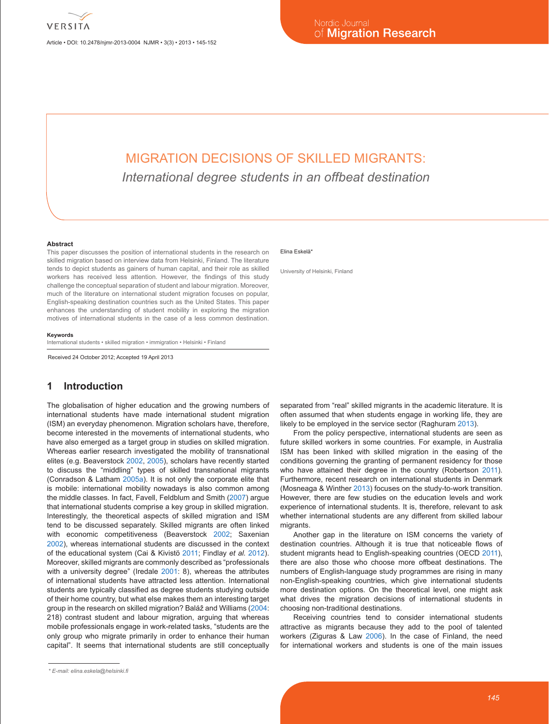Article • DOI: 10.2478/njmr-2013-0004 NJMR • 3(3) • 2013 • 145-152

# MIGRATION DECISIONS OF SKILLED MIGRANTS:

*International degree students in an offbeat destination*

#### **Abstract**

This paper discusses the position of international students in the research on skilled migration based on interview data from Helsinki, Finland. The literature tends to depict students as gainers of human capital, and their role as skilled workers has received less attention. However, the findings of this study challenge the conceptual separation of student and labour migration. Moreover, much of the literature on international student migration focuses on popular, English-speaking destination countries such as the United States. This paper enhances the understanding of student mobility in exploring the migration motives of international students in the case of a less common destination.

#### **Keywords**

International students • skilled migration • immigration • Helsinki • Finland

Received 24 October 2012; Accepted 19 April 2013

# **1 Introduction**

The globalisation of higher education and the growing numbers of international students have made international student migration (ISM) an everyday phenomenon. Migration scholars have, therefore, become interested in the movements of international students, who have also emerged as a target group in studies on skilled migration. Whereas earlier research investigated the mobility of transnational elites (e.g. Beaverstock 2002, 2005), scholars have recently started to discuss the "middling" types of skilled transnational migrants (Conradson & Latham 2005a). It is not only the corporate elite that is mobile: international mobility nowadays is also common among the middle classes. In fact, Favell, Feldblum and Smith (2007) argue that international students comprise a key group in skilled migration. Interestingly, the theoretical aspects of skilled migration and ISM tend to be discussed separately. Skilled migrants are often linked with economic competitiveness (Beaverstock 2002; Saxenian 2002), whereas international students are discussed in the context of the educational system (Cai & Kivistö 2011; Findlay *et al.* 2012). Moreover, skilled migrants are commonly described as "professionals with a university degree" (Iredale 2001: 8), whereas the attributes of international students have attracted less attention. International students are typically classified as degree students studying outside of their home country, but what else makes them an interesting target group in the research on skilled migration? Baláž and Williams (2004: 218) contrast student and labour migration, arguing that whereas mobile professionals engage in work-related tasks, "students are the only group who migrate primarily in order to enhance their human capital". It seems that international students are still conceptually

#### Elina Eskelä\*

University of Helsinki, Finland

separated from "real" skilled migrants in the academic literature. It is often assumed that when students engage in working life, they are likely to be employed in the service sector (Raghuram 2013).

From the policy perspective, international students are seen as future skilled workers in some countries. For example, in Australia ISM has been linked with skilled migration in the easing of the conditions governing the granting of permanent residency for those who have attained their degree in the country (Robertson 2011). Furthermore, recent research on international students in Denmark (Mosneaga & Winther 2013) focuses on the study-to-work transition. However, there are few studies on the education levels and work experience of international students. It is, therefore, relevant to ask whether international students are any different from skilled labour migrants.

Another gap in the literature on ISM concerns the variety of destination countries. Although it is true that noticeable flows of student migrants head to English-speaking countries (OECD 2011), there are also those who choose more offbeat destinations. The numbers of English-language study programmes are rising in many non-English-speaking countries, which give international students more destination options. On the theoretical level, one might ask what drives the migration decisions of international students in choosing non-traditional destinations.

Receiving countries tend to consider international students attractive as migrants because they add to the pool of talented workers (Ziguras & Law 2006). In the case of Finland, the need for international workers and students is one of the main issues

*<sup>\*</sup> E-mail: elina.eskela@helsinki.fi*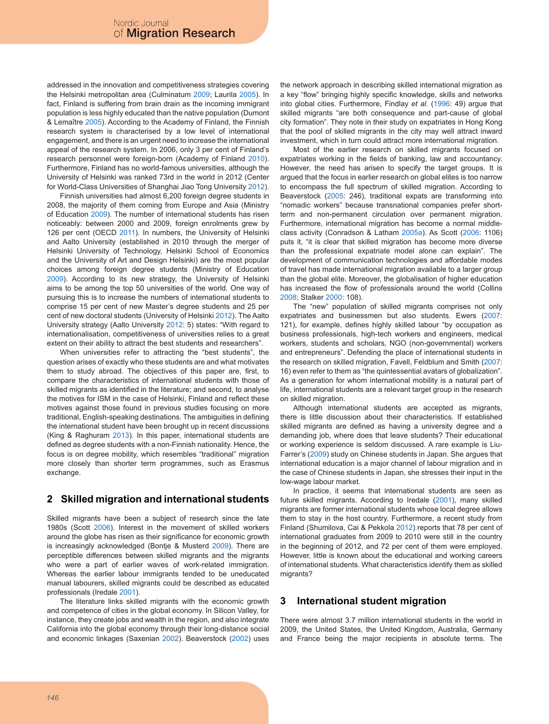addressed in the innovation and competitiveness strategies covering the Helsinki metropolitan area (Culminatum 2009; Laurila 2005). In fact, Finland is suffering from brain drain as the incoming immigrant population is less highly educated than the native population (Dumont & Lemaître 2005). According to the Academy of Finland, the Finnish research system is characterised by a low level of international engagement, and there is an urgent need to increase the international appeal of the research system. In 2006, only 3 per cent of Finland's research personnel were foreign-born (Academy of Finland 2010). Furthermore, Finland has no world-famous universities, although the University of Helsinki was ranked 73rd in the world in 2012 (Center for World-Class Universities of Shanghai Jiao Tong University 2012).

Finnish universities had almost 6,200 foreign degree students in 2008, the majority of them coming from Europe and Asia (Ministry of Education 2009). The number of international students has risen noticeably: between 2000 and 2009, foreign enrolments grew by 126 per cent (OECD 2011). In numbers, the University of Helsinki and Aalto University (established in 2010 through the merger of Helsinki University of Technology, Helsinki School of Economics and the University of Art and Design Helsinki) are the most popular choices among foreign degree students (Ministry of Education 2009). According to its new strategy, the University of Helsinki aims to be among the top 50 universities of the world. One way of pursuing this is to increase the numbers of international students to comprise 15 per cent of new Master's degree students and 25 per cent of new doctoral students (University of Helsinki 2012). The Aalto University strategy (Aalto University 2012: 5) states: "With regard to internationalisation, competitiveness of universities relies to a great extent on their ability to attract the best students and researchers".

When universities refer to attracting the "best students", the question arises of exactly who these students are and what motivates them to study abroad. The objectives of this paper are, first, to compare the characteristics of international students with those of skilled migrants as identified in the literature; and second, to analyse the motives for ISM in the case of Helsinki, Finland and reflect these motives against those found in previous studies focusing on more traditional, English-speaking destinations. The ambiguities in defining the international student have been brought up in recent discussions (King & Raghuram 2013). In this paper, international students are defined as degree students with a non-Finnish nationality. Hence, the focus is on degree mobility, which resembles "traditional" migration more closely than shorter term programmes, such as Erasmus exchange

# **2 Skilled migration and international students**

Skilled migrants have been a subject of research since the late 1980s (Scott 2006). Interest in the movement of skilled workers around the globe has risen as their significance for economic growth is increasingly acknowledged (Bontje & Musterd 2009). There are perceptible differences between skilled migrants and the migrants who were a part of earlier waves of work-related immigration. Whereas the earlier labour immigrants tended to be uneducated manual labourers, skilled migrants could be described as educated professionals (Iredale 2001).

The literature links skilled migrants with the economic growth and competence of cities in the global economy. In Silicon Valley, for instance, they create jobs and wealth in the region, and also integrate California into the global economy through their long-distance social and economic linkages (Saxenian 2002). Beaverstock (2002) uses the network approach in describing skilled international migration as a key "flow" bringing highly specific knowledge, skills and networks into global cities. Furthermore, Findlay *et al.* (1996: 49) argue that skilled migrants "are both consequence and part-cause of global city formation". They note in their study on expatriates in Hong Kong that the pool of skilled migrants in the city may well attract inward investment, which in turn could attract more international migration.

Most of the earlier research on skilled migrants focused on expatriates working in the fields of banking, law and accountancy. However, the need has arisen to specify the target groups. It is argued that the focus in earlier research on global elites is too narrow to encompass the full spectrum of skilled migration. According to Beaverstock (2005: 246), traditional expats are transforming into "nomadic workers" because transnational companies prefer shortterm and non-permanent circulation over permanent migration. Furthermore, international migration has become a normal middleclass activity (Conradson & Latham 2005a). As Scott (2006: 1106) puts it, "it is clear that skilled migration has become more diverse than the professional expatriate model alone can explain". The development of communication technologies and affordable modes of travel has made international migration available to a larger group than the global elite. Moreover, the globalisation of higher education has increased the flow of professionals around the world (Collins 2008; Stalker 2000: 108).

The "new" population of skilled migrants comprises not only expatriates and businessmen but also students. Ewers (2007: 121), for example, defines highly skilled labour "by occupation as business professionals, high-tech workers and engineers, medical workers, students and scholars, NGO (non-governmental) workers and entrepreneurs". Defending the place of international students in the research on skilled migration, Favell, Feldblum and Smith (2007: 16) even refer to them as "the quintessential avatars of globalization". As a generation for whom international mobility is a natural part of life, international students are a relevant target group in the research on skilled migration.

Although international students are accepted as migrants, there is little discussion about their characteristics. If established skilled migrants are defined as having a university degree and a demanding job, where does that leave students? Their educational or working experience is seldom discussed. A rare example is Liu-Farrer's (2009) study on Chinese students in Japan. She argues that international education is a major channel of labour migration and in the case of Chinese students in Japan, she stresses their input in the low-wage labour market.

In practice, it seems that international students are seen as future skilled migrants. According to Iredale (2001), many skilled migrants are former international students whose local degree allows them to stay in the host country. Furthermore, a recent study from Finland (Shumilova, Cai & Pekkola 2012) reports that 78 per cent of international graduates from 2009 to 2010 were still in the country in the beginning of 2012, and 72 per cent of them were employed. However, little is known about the educational and working careers of international students. What characteristics identify them as skilled migrants?

# **3 International student migration**

There were almost 3.7 million international students in the world in 2009, the United States, the United Kingdom, Australia, Germany and France being the major recipients in absolute terms. The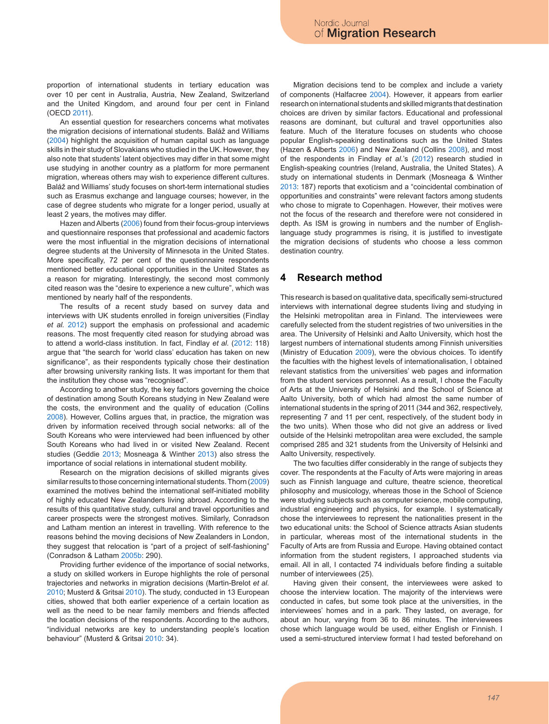proportion of international students in tertiary education was over 10 per cent in Australia, Austria, New Zealand, Switzerland and the United Kingdom, and around four per cent in Finland (OECD 2011).

An essential question for researchers concerns what motivates the migration decisions of international students. Baláž and Williams (2004) highlight the acquisition of human capital such as language skills in their study of Slovakians who studied in the UK. However, they also note that students' latent objectives may differ in that some might use studying in another country as a platform for more permanent migration, whereas others may wish to experience different cultures. Baláž and Williams' study focuses on short-term international studies such as Erasmus exchange and language courses; however, in the case of degree students who migrate for a longer period, usually at least 2 years, the motives may differ.

Hazen and Alberts (2006) found from their focus-group interviews and questionnaire responses that professional and academic factors were the most influential in the migration decisions of international degree students at the University of Minnesota in the United States. More specifically, 72 per cent of the questionnaire respondents mentioned better educational opportunities in the United States as a reason for migrating. Interestingly, the second most commonly cited reason was the "desire to experience a new culture", which was mentioned by nearly half of the respondents.

The results of a recent study based on survey data and interviews with UK students enrolled in foreign universities (Findlay *et al.* 2012) support the emphasis on professional and academic reasons. The most frequently cited reason for studying abroad was to attend a world-class institution. In fact, Findlay *et al.* (2012: 118) argue that "the search for 'world class' education has taken on new significance", as their respondents typically chose their destination after browsing university ranking lists. It was important for them that the institution they chose was "recognised".

According to another study, the key factors governing the choice of destination among South Koreans studying in New Zealand were the costs, the environment and the quality of education (Collins 2008). However, Collins argues that, in practice, the migration was driven by information received through social networks: all of the South Koreans who were interviewed had been influenced by other South Koreans who had lived in or visited New Zealand. Recent studies (Geddie 2013; Mosneaga & Winther 2013) also stress the importance of social relations in international student mobility.

Research on the migration decisions of skilled migrants gives similar results to those concerning international students. Thorn (2009) examined the motives behind the international self-initiated mobility of highly educated New Zealanders living abroad. According to the results of this quantitative study, cultural and travel opportunities and career prospects were the strongest motives. Similarly, Conradson and Latham mention an interest in travelling. With reference to the reasons behind the moving decisions of New Zealanders in London, they suggest that relocation is "part of a project of self-fashioning" (Conradson & Latham 2005b: 290).

Providing further evidence of the importance of social networks, a study on skilled workers in Europe highlights the role of personal trajectories and networks in migration decisions (Martin-Brelot *et al.* 2010; Musterd & Gritsai 2010). The study, conducted in 13 European cities, showed that both earlier experience of a certain location as well as the need to be near family members and friends affected the location decisions of the respondents. According to the authors, "individual networks are key to understanding people's location behaviour" (Musterd & Gritsai 2010: 34).

Migration decisions tend to be complex and include a variety of components (Halfacree 2004). However, it appears from earlier research on international students and skilled migrants that destination choices are driven by similar factors. Educational and professional reasons are dominant, but cultural and travel opportunities also feature. Much of the literature focuses on students who choose popular English-speaking destinations such as the United States (Hazen & Alberts 2006) and New Zealand (Collins 2008), and most of the respondents in Findlay *et al.*'s (2012) research studied in English-speaking countries (Ireland, Australia, the United States). A study on international students in Denmark (Mosneaga & Winther 2013: 187) reports that exoticism and a "coincidental combination of opportunities and constraints" were relevant factors among students who chose to migrate to Copenhagen. However, their motives were not the focus of the research and therefore were not considered in depth. As ISM is growing in numbers and the number of Englishlanguage study programmes is rising, it is justified to investigate the migration decisions of students who choose a less common destination country.

# **4 Research method**

This research is based on qualitative data, specifically semi-structured interviews with international degree students living and studying in the Helsinki metropolitan area in Finland. The interviewees were carefully selected from the student registries of two universities in the area. The University of Helsinki and Aalto University, which host the largest numbers of international students among Finnish universities (Ministry of Education 2009), were the obvious choices. To identify the faculties with the highest levels of internationalisation, I obtained relevant statistics from the universities' web pages and information from the student services personnel. As a result, I chose the Faculty of Arts at the University of Helsinki and the School of Science at Aalto University, both of which had almost the same number of international students in the spring of 2011 (344 and 362, respectively, representing 7 and 11 per cent, respectively, of the student body in the two units). When those who did not give an address or lived outside of the Helsinki metropolitan area were excluded, the sample comprised 285 and 321 students from the University of Helsinki and Aalto University, respectively.

The two faculties differ considerably in the range of subjects they cover. The respondents at the Faculty of Arts were majoring in areas such as Finnish language and culture, theatre science, theoretical philosophy and musicology, whereas those in the School of Science were studying subjects such as computer science, mobile computing, industrial engineering and physics, for example. I systematically chose the interviewees to represent the nationalities present in the two educational units: the School of Science attracts Asian students in particular, whereas most of the international students in the Faculty of Arts are from Russia and Europe. Having obtained contact information from the student registers, I approached students via email. All in all, I contacted 74 individuals before finding a suitable number of interviewees (25).

Having given their consent, the interviewees were asked to choose the interview location. The majority of the interviews were conducted in cafes, but some took place at the universities, in the interviewees' homes and in a park. They lasted, on average, for about an hour, varying from 36 to 86 minutes. The interviewees chose which language would be used, either English or Finnish. I used a semi-structured interview format I had tested beforehand on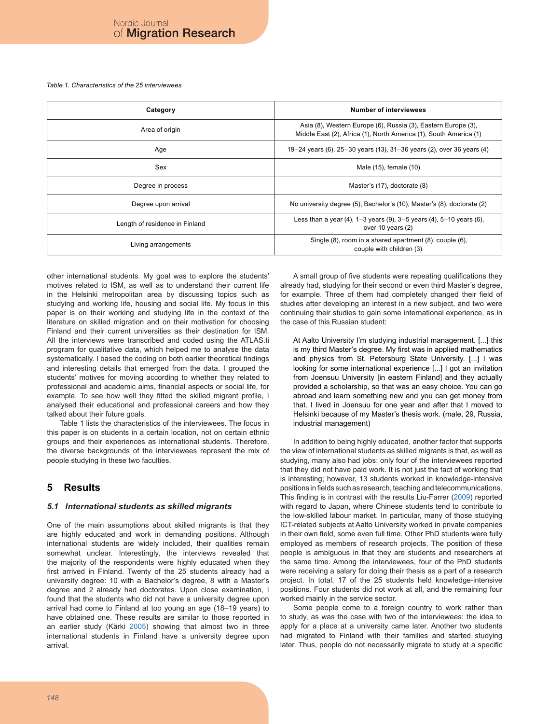*Table 1. Characteristics of the 25 interviewees*

| Category                       | Number of interviewees                                                                                                             |
|--------------------------------|------------------------------------------------------------------------------------------------------------------------------------|
| Area of origin                 | Asia (8), Western Europe (6), Russia (3), Eastern Europe (3),<br>Middle East (2), Africa (1), North America (1), South America (1) |
| Age                            | 19–24 years (6), 25–30 years (13), 31–36 years (2), over 36 years (4)                                                              |
| Sex                            | Male (15), female (10)                                                                                                             |
| Degree in process              | Master's (17), doctorate (8)                                                                                                       |
| Degree upon arrival            | No university degree (5), Bachelor's (10), Master's (8), doctorate (2)                                                             |
| Length of residence in Finland | Less than a year (4), $1-3$ years (9), $3-5$ years (4), $5-10$ years (6),<br>over 10 years (2)                                     |
| Living arrangements            | Single (8), room in a shared apartment (8), couple (6),<br>couple with children (3)                                                |

other international students. My goal was to explore the students' motives related to ISM, as well as to understand their current life in the Helsinki metropolitan area by discussing topics such as studying and working life, housing and social life. My focus in this paper is on their working and studying life in the context of the literature on skilled migration and on their motivation for choosing Finland and their current universities as their destination for ISM. All the interviews were transcribed and coded using the ATLAS.ti program for qualitative data, which helped me to analyse the data systematically. I based the coding on both earlier theoretical findings and interesting details that emerged from the data. I grouped the students' motives for moving according to whether they related to professional and academic aims, financial aspects or social life, for example. To see how well they fitted the skilled migrant profile, I analysed their educational and professional careers and how they talked about their future goals.

Table 1 lists the characteristics of the interviewees. The focus in this paper is on students in a certain location, not on certain ethnic groups and their experiences as international students. Therefore, the diverse backgrounds of the interviewees represent the mix of people studying in these two faculties.

# **5 Results**

#### *5.1 International students as skilled migrants*

One of the main assumptions about skilled migrants is that they are highly educated and work in demanding positions. Although international students are widely included, their qualities remain somewhat unclear. Interestingly, the interviews revealed that the majority of the respondents were highly educated when they first arrived in Finland. Twenty of the 25 students already had a university degree: 10 with a Bachelor's degree, 8 with a Master's degree and 2 already had doctorates. Upon close examination, I found that the students who did not have a university degree upon arrival had come to Finland at too young an age (18–19 years) to have obtained one. These results are similar to those reported in an earlier study (Kärki 2005) showing that almost two in three international students in Finland have a university degree upon arrival.

A small group of five students were repeating qualifications they already had, studying for their second or even third Master's degree, for example. Three of them had completely changed their field of studies after developing an interest in a new subject, and two were continuing their studies to gain some international experience, as in the case of this Russian student:

At Aalto University I'm studying industrial management. [...] this is my third Master's degree. My first was in applied mathematics and physics from St. Petersburg State University. [...] I was looking for some international experience [...] I got an invitation from Joensuu University [in eastern Finland] and they actually provided a scholarship, so that was an easy choice. You can go abroad and learn something new and you can get money from that. I lived in Joensuu for one year and after that I moved to Helsinki because of my Master's thesis work. (male, 29, Russia, industrial management)

In addition to being highly educated, another factor that supports the view of international students as skilled migrants is that, as well as studying, many also had jobs: only four of the interviewees reported that they did not have paid work. It is not just the fact of working that is interesting; however, 13 students worked in knowledge-intensive positions in fields such as research, teaching and telecommunications. This finding is in contrast with the results Liu-Farrer (2009) reported with regard to Japan, where Chinese students tend to contribute to the low-skilled labour market. In particular, many of those studying ICT-related subjects at Aalto University worked in private companies in their own field, some even full time. Other PhD students were fully employed as members of research projects. The position of these people is ambiguous in that they are students and researchers at the same time. Among the interviewees, four of the PhD students were receiving a salary for doing their thesis as a part of a research project. In total, 17 of the 25 students held knowledge-intensive positions. Four students did not work at all, and the remaining four worked mainly in the service sector.

Some people come to a foreign country to work rather than to study, as was the case with two of the interviewees: the idea to apply for a place at a university came later. Another two students had migrated to Finland with their families and started studying later. Thus, people do not necessarily migrate to study at a specific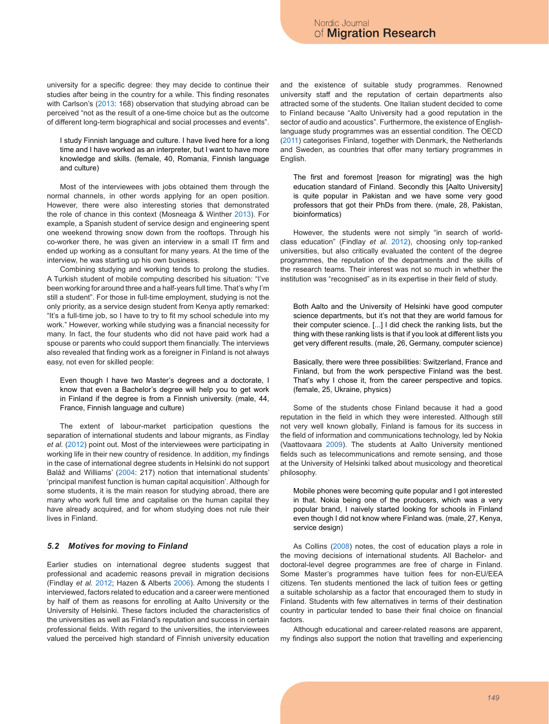university for a specific degree: they may decide to continue their studies after being in the country for a while. This finding resonates with Carlson's (2013: 168) observation that studying abroad can be perceived "not as the result of a one-time choice but as the outcome of different long-term biographical and social processes and events".

I study Finnish language and culture. I have lived here for a long time and I have worked as an interpreter, but I want to have more knowledge and skills. (female, 40, Romania, Finnish language and culture)

Most of the interviewees with jobs obtained them through the normal channels, in other words applying for an open position. However, there were also interesting stories that demonstrated the role of chance in this context (Mosneaga & Winther 2013). For example, a Spanish student of service design and engineering spent one weekend throwing snow down from the rooftops. Through his co-worker there, he was given an interview in a small IT firm and ended up working as a consultant for many years. At the time of the interview, he was starting up his own business.

Combining studying and working tends to prolong the studies. A Turkish student of mobile computing described his situation: "I've been working for around three and a half-years full time. That's why I'm still a student". For those in full-time employment, studying is not the only priority, as a service design student from Kenya aptly remarked: "It's a full-time job, so I have to try to fit my school schedule into my work." However, working while studying was a financial necessity for many. In fact, the four students who did not have paid work had a spouse or parents who could support them financially. The interviews also revealed that finding work as a foreigner in Finland is not always easy, not even for skilled people:

Even though I have two Master's degrees and a doctorate, I know that even a Bachelor's degree will help you to get work in Finland if the degree is from a Finnish university. (male, 44, France, Finnish language and culture)

The extent of labour-market participation questions the separation of international students and labour migrants, as Findlay *et al.* (2012) point out. Most of the interviewees were participating in working life in their new country of residence. In addition, my findings in the case of international degree students in Helsinki do not support Baláž and Williams' (2004: 217) notion that international students' 'principal manifest function is human capital acquisition'. Although for some students, it is the main reason for studying abroad, there are many who work full time and capitalise on the human capital they have already acquired, and for whom studying does not rule their lives in Finland.

#### *5.2 Motives for moving to Finland*

Earlier studies on international degree students suggest that professional and academic reasons prevail in migration decisions (Findlay *et al.* 2012; Hazen & Alberts 2006). Among the students I interviewed, factors related to education and a career were mentioned by half of them as reasons for enrolling at Aalto University or the University of Helsinki. These factors included the characteristics of the universities as well as Finland's reputation and success in certain professional fields. With regard to the universities, the interviewees valued the perceived high standard of Finnish university education

and the existence of suitable study programmes. Renowned university staff and the reputation of certain departments also attracted some of the students. One Italian student decided to come to Finland because "Aalto University had a good reputation in the sector of audio and acoustics". Furthermore, the existence of Englishlanguage study programmes was an essential condition. The OECD (2011) categorises Finland, together with Denmark, the Netherlands and Sweden, as countries that offer many tertiary programmes in English.

The first and foremost [reason for migrating] was the high education standard of Finland. Secondly this [Aalto University] is quite popular in Pakistan and we have some very good professors that got their PhDs from there. (male, 28, Pakistan, bioinformatics)

However, the students were not simply "in search of worldclass education" (Findlay *et al.* 2012), choosing only top-ranked universities, but also critically evaluated the content of the degree programmes, the reputation of the departments and the skills of the research teams. Their interest was not so much in whether the institution was "recognised" as in its expertise in their field of study.

Both Aalto and the University of Helsinki have good computer science departments, but it's not that they are world famous for their computer science. [...] I did check the ranking lists, but the thing with these ranking lists is that if you look at different lists you get very different results. (male, 26, Germany, computer science)

Basically, there were three possibilities: Switzerland, France and Finland, but from the work perspective Finland was the best. That's why I chose it, from the career perspective and topics. (female, 25, Ukraine, physics)

Some of the students chose Finland because it had a good reputation in the field in which they were interested. Although still not very well known globally, Finland is famous for its success in the field of information and communications technology, led by Nokia (Vaattovaara 2009). The students at Aalto University mentioned fields such as telecommunications and remote sensing, and those at the University of Helsinki talked about musicology and theoretical philosophy.

Mobile phones were becoming quite popular and I got interested in that. Nokia being one of the producers, which was a very popular brand, I naively started looking for schools in Finland even though I did not know where Finland was. (male, 27, Kenya, service design)

As Collins (2008) notes, the cost of education plays a role in the moving decisions of international students. All Bachelor- and doctoral-level degree programmes are free of charge in Finland. Some Master's programmes have tuition fees for non-EU/EEA citizens. Ten students mentioned the lack of tuition fees or getting a suitable scholarship as a factor that encouraged them to study in Finland. Students with few alternatives in terms of their destination country in particular tended to base their final choice on financial factors.

Although educational and career-related reasons are apparent, my findings also support the notion that travelling and experiencing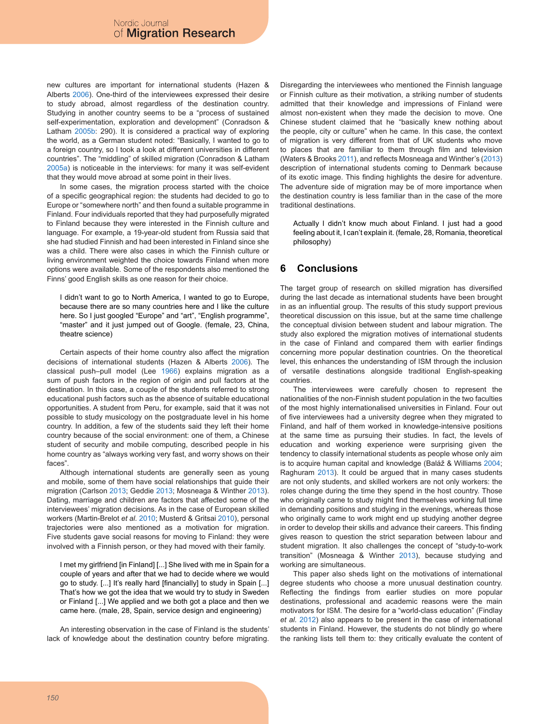new cultures are important for international students (Hazen & Alberts 2006). One-third of the interviewees expressed their desire to study abroad, almost regardless of the destination country. Studying in another country seems to be a "process of sustained self-experimentation, exploration and development" (Conradson & Latham 2005b: 290). It is considered a practical way of exploring the world, as a German student noted: "Basically, I wanted to go to a foreign country, so I took a look at different universities in different countries". The "middling" of skilled migration (Conradson & Latham 2005a) is noticeable in the interviews: for many it was self-evident that they would move abroad at some point in their lives.

In some cases, the migration process started with the choice of a specific geographical region: the students had decided to go to Europe or "somewhere north" and then found a suitable programme in Finland. Four individuals reported that they had purposefully migrated to Finland because they were interested in the Finnish culture and language. For example, a 19-year-old student from Russia said that she had studied Finnish and had been interested in Finland since she was a child. There were also cases in which the Finnish culture or living environment weighted the choice towards Finland when more options were available. Some of the respondents also mentioned the Finns' good English skills as one reason for their choice.

I didn't want to go to North America, I wanted to go to Europe, because there are so many countries here and I like the culture here. So I just googled "Europe" and "art", "English programme", "master" and it just jumped out of Google. (female, 23, China, theatre science)

Certain aspects of their home country also affect the migration decisions of international students (Hazen & Alberts 2006). The classical push–pull model (Lee 1966) explains migration as a sum of push factors in the region of origin and pull factors at the destination. In this case, a couple of the students referred to strong educational push factors such as the absence of suitable educational opportunities. A student from Peru, for example, said that it was not possible to study musicology on the postgraduate level in his home country. In addition, a few of the students said they left their home country because of the social environment: one of them, a Chinese student of security and mobile computing, described people in his home country as "always working very fast, and worry shows on their faces".

Although international students are generally seen as young and mobile, some of them have social relationships that guide their migration (Carlson 2013; Geddie 2013; Mosneaga & Winther 2013). Dating, marriage and children are factors that affected some of the interviewees' migration decisions. As in the case of European skilled workers (Martin-Brelot *et al.* 2010; Musterd & Gritsai 2010), personal trajectories were also mentioned as a motivation for migration. Five students gave social reasons for moving to Finland: they were involved with a Finnish person, or they had moved with their family.

I met my girlfriend [in Finland] [...] She lived with me in Spain for a couple of years and after that we had to decide where we would go to study. [...] It's really hard [financially] to study in Spain [...] That's how we got the idea that we would try to study in Sweden or Finland [...] We applied and we both got a place and then we came here. (male, 28, Spain, service design and engineering)

An interesting observation in the case of Finland is the students' lack of knowledge about the destination country before migrating. Disregarding the interviewees who mentioned the Finnish language or Finnish culture as their motivation, a striking number of students admitted that their knowledge and impressions of Finland were almost non-existent when they made the decision to move. One Chinese student claimed that he "basically knew nothing about the people, city or culture" when he came. In this case, the context of migration is very different from that of UK students who move to places that are familiar to them through film and television (Waters & Brooks 2011), and reflects Mosneaga and Winther's (2013) description of international students coming to Denmark because of its exotic image. This finding highlights the desire for adventure. The adventure side of migration may be of more importance when the destination country is less familiar than in the case of the more traditional destinations.

Actually I didn't know much about Finland. I just had a good feeling about it, I can't explain it. (female, 28, Romania, theoretical philosophy)

# **6 Conclusions**

The target group of research on skilled migration has diversified during the last decade as international students have been brought in as an influential group. The results of this study support previous theoretical discussion on this issue, but at the same time challenge the conceptual division between student and labour migration. The study also explored the migration motives of international students in the case of Finland and compared them with earlier findings concerning more popular destination countries. On the theoretical level, this enhances the understanding of ISM through the inclusion of versatile destinations alongside traditional English-speaking countries.

The interviewees were carefully chosen to represent the nationalities of the non-Finnish student population in the two faculties of the most highly internationalised universities in Finland. Four out of five interviewees had a university degree when they migrated to Finland, and half of them worked in knowledge-intensive positions at the same time as pursuing their studies. In fact, the levels of education and working experience were surprising given the tendency to classify international students as people whose only aim is to acquire human capital and knowledge (Baláž & Williams 2004; Raghuram 2013). It could be argued that in many cases students are not only students, and skilled workers are not only workers: the roles change during the time they spend in the host country. Those who originally came to study might find themselves working full time in demanding positions and studying in the evenings, whereas those who originally came to work might end up studying another degree in order to develop their skills and advance their careers. This finding gives reason to question the strict separation between labour and student migration. It also challenges the concept of "study-to-work transition" (Mosneaga & Winther 2013), because studying and working are simultaneous.

This paper also sheds light on the motivations of international degree students who choose a more unusual destination country. Reflecting the findings from earlier studies on more popular destinations, professional and academic reasons were the main motivators for ISM. The desire for a "world-class education" (Findlay *et al.* 2012) also appears to be present in the case of international students in Finland. However, the students do not blindly go where the ranking lists tell them to: they critically evaluate the content of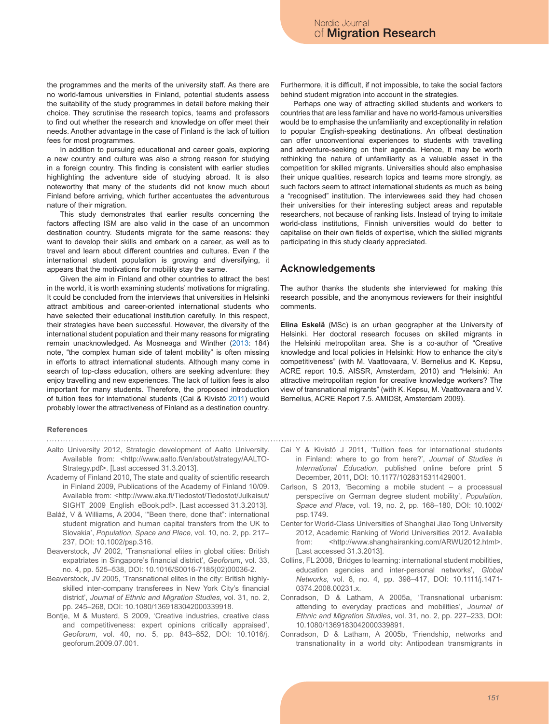the programmes and the merits of the university staff. As there are no world-famous universities in Finland, potential students assess the suitability of the study programmes in detail before making their choice. They scrutinise the research topics, teams and professors to find out whether the research and knowledge on offer meet their needs. Another advantage in the case of Finland is the lack of tuition fees for most programmes.

In addition to pursuing educational and career goals, exploring a new country and culture was also a strong reason for studying in a foreign country. This finding is consistent with earlier studies highlighting the adventure side of studying abroad. It is also noteworthy that many of the students did not know much about Finland before arriving, which further accentuates the adventurous nature of their migration.

This study demonstrates that earlier results concerning the factors affecting ISM are also valid in the case of an uncommon destination country. Students migrate for the same reasons: they want to develop their skills and embark on a career, as well as to travel and learn about different countries and cultures. Even if the international student population is growing and diversifying, it appears that the motivations for mobility stay the same.

Given the aim in Finland and other countries to attract the best in the world, it is worth examining students' motivations for migrating. It could be concluded from the interviews that universities in Helsinki attract ambitious and career-oriented international students who have selected their educational institution carefully. In this respect, their strategies have been successful. However, the diversity of the international student population and their many reasons for migrating remain unacknowledged. As Mosneaga and Winther (2013: 184) note, "the complex human side of talent mobility" is often missing in efforts to attract international students. Although many come in search of top-class education, others are seeking adventure: they enjoy travelling and new experiences. The lack of tuition fees is also important for many students. Therefore, the proposed introduction of tuition fees for international students (Cai & Kivistö 2011) would probably lower the attractiveness of Finland as a destination country.

#### **References**

#### 

- Aalto University 2012, Strategic development of Aalto University. Available from: <http://www.aalto.fi/en/about/strategy/AALTO-Strategy.pdf>. [Last accessed 31.3.2013].
- Academy of Finland 2010, The state and quality of scientific research in Finland 2009, Publications of the Academy of Finland 10/09. Available from: <http://www.aka.fi/Tiedostot/Tiedostot/Julkaisut/ SIGHT\_2009\_English\_eBook.pdf>. [Last accessed 31.3.2013].
- Baláž, V & Williams, A 2004, '"Been there, done that": international student migration and human capital transfers from the UK to Slovakia', *Population, Space and Place*, vol. 10, no. 2, pp. 217– 237, DOI: 10.1002/psp.316.
- Beaverstock, JV 2002, 'Transnational elites in global cities: British expatriates in Singapore's financial district', *Geoforum*, vol. 33, no. 4, pp. 525–538, DOI: 10.1016/S0016-7185(02)00036-2.
- Beaverstock, JV 2005, 'Transnational elites in the city: British highlyskilled inter-company transferees in New York City's financial district', *Journal of Ethnic and Migration Studies*, vol. 31, no. 2, pp. 245–268, DOI: 10.1080/1369183042000339918.
- Bontje, M & Musterd, S 2009, 'Creative industries, creative class and competitiveness: expert opinions critically appraised', *Geoforum*, vol. 40, no. 5, pp. 843–852, DOI: 10.1016/j. geoforum.2009.07.001.

Furthermore, it is difficult, if not impossible, to take the social factors behind student migration into account in the strategies.

Perhaps one way of attracting skilled students and workers to countries that are less familiar and have no world-famous universities would be to emphasise the unfamiliarity and exceptionality in relation to popular English-speaking destinations. An offbeat destination can offer unconventional experiences to students with travelling and adventure-seeking on their agenda. Hence, it may be worth rethinking the nature of unfamiliarity as a valuable asset in the competition for skilled migrants. Universities should also emphasise their unique qualities, research topics and teams more strongly, as such factors seem to attract international students as much as being a "recognised" institution. The interviewees said they had chosen their universities for their interesting subject areas and reputable researchers, not because of ranking lists. Instead of trying to imitate world-class institutions, Finnish universities would do better to capitalise on their own fields of expertise, which the skilled migrants participating in this study clearly appreciated.

### **Acknowledgements**

The author thanks the students she interviewed for making this research possible, and the anonymous reviewers for their insightful comments.

**Elina Eskelä** (MSc) is an urban geographer at the University of Helsinki. Her doctoral research focuses on skilled migrants in the Helsinki metropolitan area. She is a co-author of "Creative knowledge and local policies in Helsinki: How to enhance the city's competitiveness" (with M. Vaattovaara, V. Bernelius and K. Kepsu, ACRE report 10.5. AISSR, Amsterdam, 2010) and "Helsinki: An attractive metropolitan region for creative knowledge workers? The view of transnational migrants" (with K. Kepsu, M. Vaattovaara and V. Bernelius, ACRE Report 7.5. AMIDSt, Amsterdam 2009).

- Cai Y & Kivistö J 2011, 'Tuition fees for international students in Finland: where to go from here?', *Journal of Studies in International Education*, published online before print 5
- December, 2011, DOI: 10.1177/1028315311429001. Carlson, S 2013, 'Becoming a mobile student – a processual perspective on German degree student mobility', *Population, Space and Place*, vol. 19, no. 2, pp. 168–180, DOI: 10.1002/ psp.1749.
- Center for World-Class Universities of Shanghai Jiao Tong University 2012, Academic Ranking of World Universities 2012. Available from: <http://www.shanghairanking.com/ARWU2012.html>. [Last accessed 31.3.2013].
- Collins, FL 2008, 'Bridges to learning: international student mobilities, education agencies and inter-personal networks', *Global Networks*, vol. 8, no. 4, pp. 398–417, DOI: 10.1111/j.1471- 0374.2008.00231.x.
- Conradson, D & Latham, A 2005a, 'Transnational urbanism: attending to everyday practices and mobilities', *Journal of Ethnic and Migration Studies*, vol. 31, no. 2, pp. 227–233, DOI: 10.1080/1369183042000339891.
- Conradson, D & Latham, A 2005b, 'Friendship, networks and transnationality in a world city: Antipodean transmigrants in